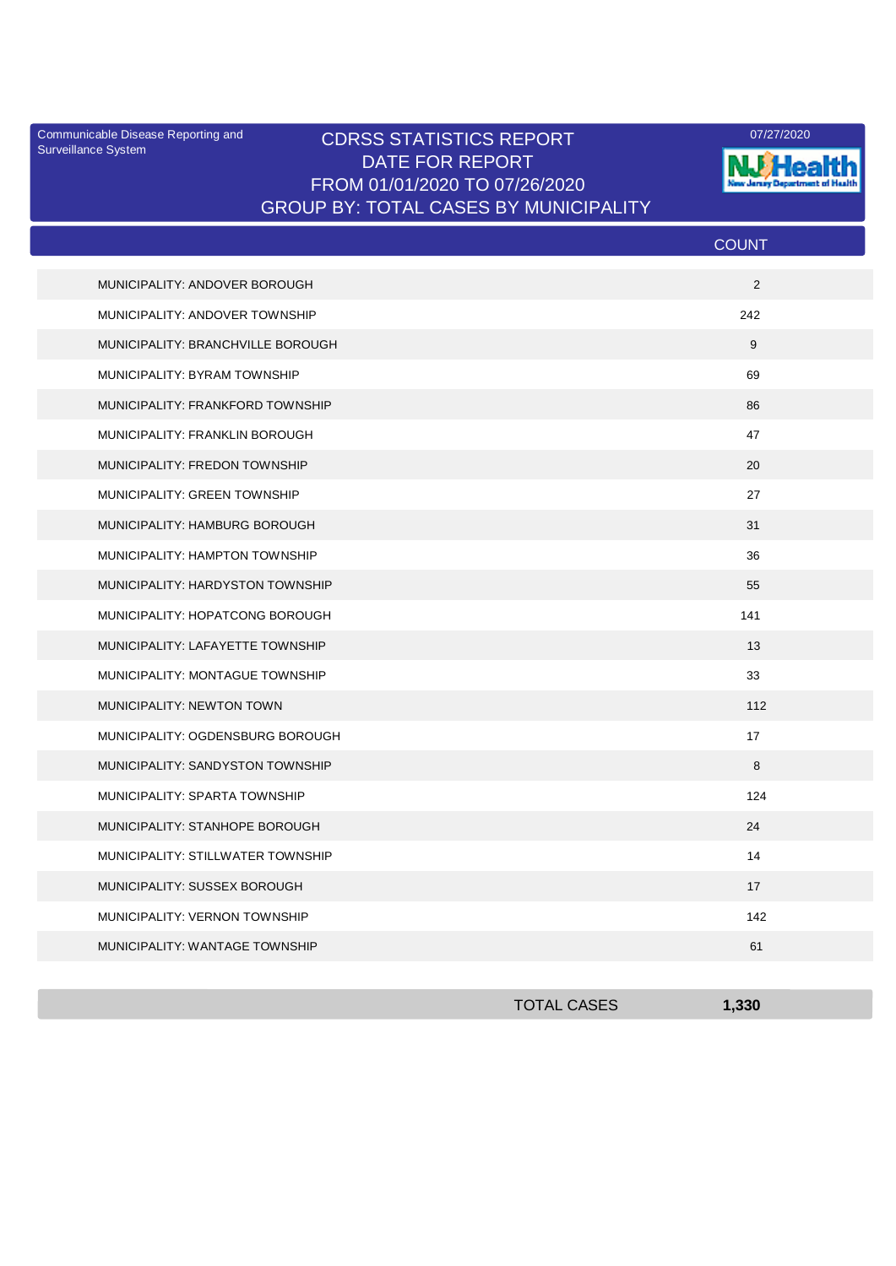Surveillance System

## Communicable Disease Reporting and **CDRSS STATISTICS REPORT** 2007/27/2020<br>Curreillance Statem DATE FOR REPORT FROM 01/01/2020 TO 07/26/2020 GROUP BY: TOTAL CASES BY MUNICIPALITY



|                                   | <b>COUNT</b> |
|-----------------------------------|--------------|
| MUNICIPALITY: ANDOVER BOROUGH     | 2            |
| MUNICIPALITY: ANDOVER TOWNSHIP    | 242          |
| MUNICIPALITY: BRANCHVILLE BOROUGH | 9            |
| MUNICIPALITY: BYRAM TOWNSHIP      | 69           |
| MUNICIPALITY: FRANKFORD TOWNSHIP  | 86           |
| MUNICIPALITY: FRANKLIN BOROUGH    | 47           |
| MUNICIPALITY: FREDON TOWNSHIP     | 20           |
| MUNICIPALITY: GREEN TOWNSHIP      | 27           |
| MUNICIPALITY: HAMBURG BOROUGH     | 31           |
| MUNICIPALITY: HAMPTON TOWNSHIP    | 36           |
| MUNICIPALITY: HARDYSTON TOWNSHIP  | 55           |
| MUNICIPALITY: HOPATCONG BOROUGH   | 141          |
| MUNICIPALITY: LAFAYETTE TOWNSHIP  | 13           |
| MUNICIPALITY: MONTAGUE TOWNSHIP   | 33           |
| MUNICIPALITY: NEWTON TOWN         | 112          |
| MUNICIPALITY: OGDENSBURG BOROUGH  | 17           |
| MUNICIPALITY: SANDYSTON TOWNSHIP  | 8            |
| MUNICIPALITY: SPARTA TOWNSHIP     | 124          |
| MUNICIPALITY: STANHOPE BOROUGH    | 24           |
| MUNICIPALITY: STILLWATER TOWNSHIP | 14           |
| MUNICIPALITY: SUSSEX BOROUGH      | 17           |
| MUNICIPALITY: VERNON TOWNSHIP     | 142          |
| MUNICIPALITY: WANTAGE TOWNSHIP    | 61           |

| <b>TOTAL CASES</b> | 1,330 |
|--------------------|-------|
|                    |       |